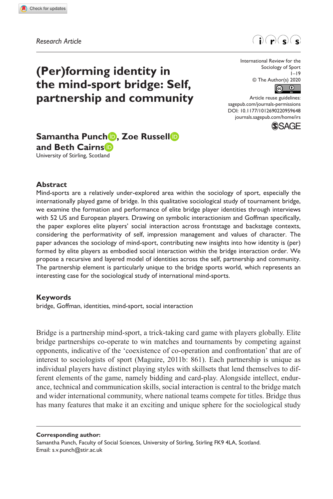**9596[48](http://crossmark.crossref.org/dialog/?doi=10.1177%2F1012690220959648&domain=pdf&date_stamp=2020-09-27)**IRS0010.1177/1012690220959648International Review for the Sociology of Sport**Punch et al.**

*Research Article*



# **(Per)forming identity in the mind-sport bridge: Self, partnership and community**

International Review for the Sociology of Sport  $1 - 19$ © The Author(s) 2020  $\bigcirc$  $\left($ 

DOI: 10.1177/1012690220959648 Article reuse guidelines: [sagepub.com/journals-permissions](https://uk.sagepub.com/en-gb/journals-permissions) [journals.sagepub.com/home/irs](https://journals.sagepub.com/home/irs)



## **Samantha Punch<sup>D</sup>, Zoe Russell<sup>D</sup> and Beth Cairns** University of Stirling, Scotland

**Abstract**

Mind-sports are a relatively under-explored area within the sociology of sport, especially the internationally played game of bridge. In this qualitative sociological study of tournament bridge, we examine the formation and performance of elite bridge player identities through interviews with 52 US and European players. Drawing on symbolic interactionism and Goffman specifically, the paper explores elite players' social interaction across frontstage and backstage contexts, considering the performativity of self, impression management and values of character. The paper advances the sociology of mind-sport, contributing new insights into how identity is (per) formed by elite players as embodied social interaction within the bridge interaction order. We propose a recursive and layered model of identities across the self, partnership and community. The partnership element is particularly unique to the bridge sports world, which represents an interesting case for the sociological study of international mind-sports.

#### **Keywords**

bridge, Goffman, identities, mind-sport, social interaction

Bridge is a partnership mind-sport, a trick-taking card game with players globally. Elite bridge partnerships co-operate to win matches and tournaments by competing against opponents, indicative of the 'coexistence of co-operation and confrontation' that are of interest to sociologists of sport (Maguire, 2011b: 861). Each partnership is unique as individual players have distinct playing styles with skillsets that lend themselves to different elements of the game, namely bidding and card-play. Alongside intellect, endurance, technical and communication skills, social interaction is central to the bridge match and wider international community, where national teams compete for titles. Bridge thus has many features that make it an exciting and unique sphere for the sociological study

**Corresponding author:** Samantha Punch, Faculty of Social Sciences, University of Stirling, Stirling FK9 4LA, Scotland. Email: s.v.punch@stir.ac.uk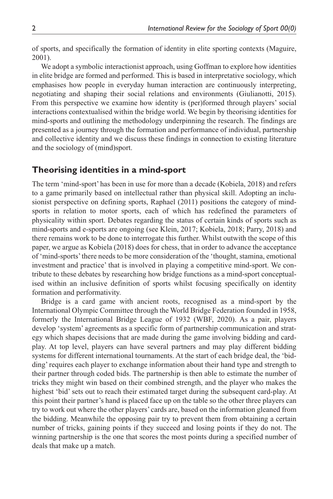of sports, and specifically the formation of identity in elite sporting contexts (Maguire, 2001).

We adopt a symbolic interactionist approach, using Goffman to explore how identities in elite bridge are formed and performed. This is based in interpretative sociology, which emphasises how people in everyday human interaction are continuously interpreting, negotiating and shaping their social relations and environments (Giulianotti, 2015). From this perspective we examine how identity is (per)formed through players' social interactions contextualised within the bridge world. We begin by theorising identities for mind-sports and outlining the methodology underpinning the research. The findings are presented as a journey through the formation and performance of individual, partnership and collective identity and we discuss these findings in connection to existing literature and the sociology of (mind)sport.

### **Theorising identities in a mind-sport**

The term 'mind-sport' has been in use for more than a decade (Kobiela, 2018) and refers to a game primarily based on intellectual rather than physical skill. Adopting an inclusionist perspective on defining sports, Raphael (2011) positions the category of mindsports in relation to motor sports, each of which has redefined the parameters of physicality within sport. Debates regarding the status of certain kinds of sports such as mind-sports and e-sports are ongoing (see Klein, 2017; Kobiela, 2018; Parry, 2018) and there remains work to be done to interrogate this further. Whilst outwith the scope of this paper, we argue as Kobiela (2018) does for chess, that in order to advance the acceptance of 'mind-sports' there needs to be more consideration of the 'thought, stamina, emotional investment and practice' that is involved in playing a competitive mind-sport. We contribute to these debates by researching how bridge functions as a mind-sport conceptualised within an inclusive definition of sports whilst focusing specifically on identity formation and performativity.

Bridge is a card game with ancient roots, recognised as a mind-sport by the International Olympic Committee through the World Bridge Federation founded in 1958, formerly the International Bridge League of 1932 (WBF, 2020). As a pair, players develop 'system' agreements as a specific form of partnership communication and strategy which shapes decisions that are made during the game involving bidding and cardplay. At top level, players can have several partners and may play different bidding systems for different international tournaments. At the start of each bridge deal, the 'bidding' requires each player to exchange information about their hand type and strength to their partner through coded bids. The partnership is then able to estimate the number of tricks they might win based on their combined strength, and the player who makes the highest 'bid' sets out to reach their estimated target during the subsequent card-play. At this point their partner's hand is placed face up on the table so the other three players can try to work out where the other players' cards are, based on the information gleaned from the bidding. Meanwhile the opposing pair try to prevent them from obtaining a certain number of tricks, gaining points if they succeed and losing points if they do not. The winning partnership is the one that scores the most points during a specified number of deals that make up a match.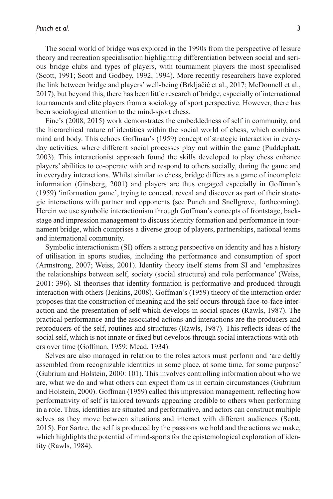The social world of bridge was explored in the 1990s from the perspective of leisure theory and recreation specialisation highlighting differentiation between social and serious bridge clubs and types of players, with tournament players the most specialised (Scott, 1991; Scott and Godbey, 1992, 1994). More recently researchers have explored the link between bridge and players' well-being (Brkljačić et al., 2017; McDonnell et al., 2017), but beyond this, there has been little research of bridge, especially of international tournaments and elite players from a sociology of sport perspective. However, there has been sociological attention to the mind-sport chess.

Fine's (2008, 2015) work demonstrates the embeddedness of self in community, and the hierarchical nature of identities within the social world of chess, which combines mind and body. This echoes Goffman's (1959) concept of strategic interaction in everyday activities, where different social processes play out within the game (Puddephatt, 2003). This interactionist approach found the skills developed to play chess enhance players' abilities to co-operate with and respond to others socially, during the game and in everyday interactions. Whilst similar to chess, bridge differs as a game of incomplete information (Ginsberg, 2001) and players are thus engaged especially in Goffman's (1959) 'information game', trying to conceal, reveal and discover as part of their strategic interactions with partner and opponents (see Punch and Snellgrove, forthcoming). Herein we use symbolic interactionism through Goffman's concepts of frontstage, backstage and impression management to discuss identity formation and performance in tournament bridge, which comprises a diverse group of players, partnerships, national teams and international community.

Symbolic interactionism (SI) offers a strong perspective on identity and has a history of utilisation in sports studies, including the performance and consumption of sport (Armstrong, 2007; Weiss, 2001). Identity theory itself stems from SI and 'emphasizes the relationships between self, society (social structure) and role performance' (Weiss, 2001: 396). SI theorises that identity formation is performative and produced through interaction with others (Jenkins, 2008). Goffman's (1959) theory of the interaction order proposes that the construction of meaning and the self occurs through face-to-face interaction and the presentation of self which develops in social spaces (Rawls, 1987). The practical performance and the associated actions and interactions are the producers and reproducers of the self, routines and structures (Rawls, 1987). This reflects ideas of the social self, which is not innate or fixed but develops through social interactions with others over time (Goffman, 1959; Mead, 1934).

Selves are also managed in relation to the roles actors must perform and 'are deftly assembled from recognizable identities in some place, at some time, for some purpose' (Gubrium and Holstein, 2000: 101). This involves controlling information about who we are, what we do and what others can expect from us in certain circumstances (Gubrium and Holstein, 2000). Goffman (1959) called this impression management, reflecting how performativity of self is tailored towards appearing credible to others when performing in a role. Thus, identities are situated and performative, and actors can construct multiple selves as they move between situations and interact with different audiences (Scott, 2015). For Sartre, the self is produced by the passions we hold and the actions we make, which highlights the potential of mind-sports for the epistemological exploration of identity (Rawls, 1984).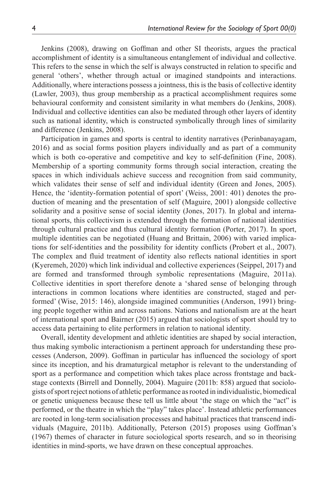Jenkins (2008), drawing on Goffman and other SI theorists, argues the practical accomplishment of identity is a simultaneous entanglement of individual and collective. This refers to the sense in which the self is always constructed in relation to specific and general 'others', whether through actual or imagined standpoints and interactions. Additionally, where interactions possess a jointness, this is the basis of collective identity (Lawler, 2003), thus group membership as a practical accomplishment requires some behavioural conformity and consistent similarity in what members do (Jenkins, 2008). Individual and collective identities can also be mediated through other layers of identity such as national identity, which is constructed symbolically through lines of similarity and difference (Jenkins, 2008).

Participation in games and sports is central to identity narratives (Perinbanayagam, 2016) and as social forms position players individually and as part of a community which is both co-operative and competitive and key to self-definition (Fine, 2008). Membership of a sporting community forms through social interaction, creating the spaces in which individuals achieve success and recognition from said community, which validates their sense of self and individual identity (Green and Jones, 2005). Hence, the 'identity-formation potential of sport' (Weiss, 2001: 401) denotes the production of meaning and the presentation of self (Maguire, 2001) alongside collective solidarity and a positive sense of social identity (Jones, 2017). In global and international sports, this collectivism is extended through the formation of national identities through cultural practice and thus cultural identity formation (Porter, 2017). In sport, multiple identities can be negotiated (Huang and Brittain, 2006) with varied implications for self-identities and the possibility for identity conflicts (Probert et al., 2007). The complex and fluid treatment of identity also reflects national identities in sport (Kyeremeh, 2020) which link individual and collective experiences (Seippel, 2017) and are formed and transformed through symbolic representations (Maguire, 2011a). Collective identities in sport therefore denote a 'shared sense of belonging through interactions in common locations where identities are constructed, staged and performed' (Wise, 2015: 146), alongside imagined communities (Anderson, 1991) bringing people together within and across nations. Nations and nationalism are at the heart of international sport and Bairner (2015) argued that sociologists of sport should try to access data pertaining to elite performers in relation to national identity.

Overall, identity development and athletic identities are shaped by social interaction, thus making symbolic interactionism a pertinent approach for understanding these processes (Anderson, 2009). Goffman in particular has influenced the sociology of sport since its inception, and his dramaturgical metaphor is relevant to the understanding of sport as a performance and competition which takes place across frontstage and backstage contexts (Birrell and Donnelly, 2004). Maguire (2011b: 858) argued that sociologists of sport reject notions of athletic performance as rooted in individualistic, biomedical or genetic uniqueness because these tell us little about 'the stage on which the "act" is performed, or the theatre in which the "play" takes place'. Instead athletic performances are rooted in long-term socialisation processes and habitual practices that transcend individuals (Maguire, 2011b). Additionally, Peterson (2015) proposes using Goffman's (1967) themes of character in future sociological sports research, and so in theorising identities in mind-sports, we have drawn on these conceptual approaches.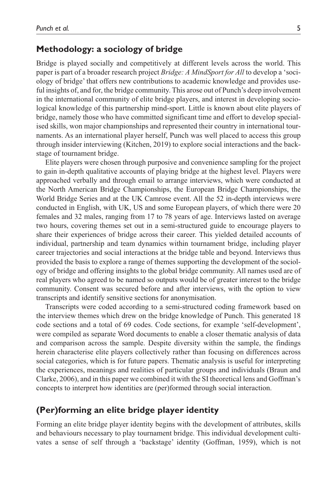### **Methodology: a sociology of bridge**

Bridge is played socially and competitively at different levels across the world. This paper is part of a broader research project *Bridge: A MindSport for All* to develop a 'sociology of bridge' that offers new contributions to academic knowledge and provides useful insights of, and for, the bridge community. This arose out of Punch's deep involvement in the international community of elite bridge players, and interest in developing sociological knowledge of this partnership mind-sport. Little is known about elite players of bridge, namely those who have committed significant time and effort to develop specialised skills, won major championships and represented their country in international tournaments. As an international player herself, Punch was well placed to access this group through insider interviewing (Kitchen, 2019) to explore social interactions and the backstage of tournament bridge.

Elite players were chosen through purposive and convenience sampling for the project to gain in-depth qualitative accounts of playing bridge at the highest level. Players were approached verbally and through email to arrange interviews, which were conducted at the North American Bridge Championships, the European Bridge Championships, the World Bridge Series and at the UK Camrose event. All the 52 in-depth interviews were conducted in English, with UK, US and some European players, of which there were 20 females and 32 males, ranging from 17 to 78 years of age. Interviews lasted on average two hours, covering themes set out in a semi-structured guide to encourage players to share their experiences of bridge across their career. This yielded detailed accounts of individual, partnership and team dynamics within tournament bridge, including player career trajectories and social interactions at the bridge table and beyond. Interviews thus provided the basis to explore a range of themes supporting the development of the sociology of bridge and offering insights to the global bridge community. All names used are of real players who agreed to be named so outputs would be of greater interest to the bridge community. Consent was secured before and after interviews, with the option to view transcripts and identify sensitive sections for anonymisation.

Transcripts were coded according to a semi-structured coding framework based on the interview themes which drew on the bridge knowledge of Punch. This generated 18 code sections and a total of 69 codes. Code sections, for example 'self-development', were compiled as separate Word documents to enable a closer thematic analysis of data and comparison across the sample. Despite diversity within the sample, the findings herein characterise elite players collectively rather than focusing on differences across social categories, which is for future papers. Thematic analysis is useful for interpreting the experiences, meanings and realities of particular groups and individuals (Braun and Clarke, 2006), and in this paper we combined it with the SI theoretical lens and Goffman's concepts to interpret how identities are (per)formed through social interaction.

### **(Per)forming an elite bridge player identity**

Forming an elite bridge player identity begins with the development of attributes, skills and behaviours necessary to play tournament bridge. This individual development cultivates a sense of self through a 'backstage' identity (Goffman, 1959), which is not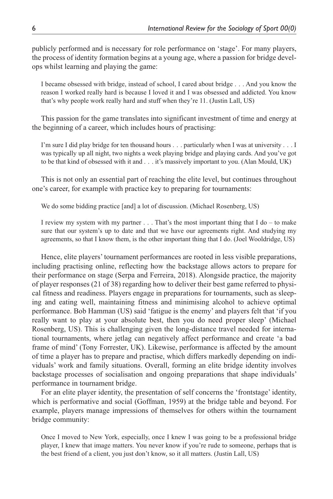publicly performed and is necessary for role performance on 'stage'. For many players, the process of identity formation begins at a young age, where a passion for bridge develops whilst learning and playing the game:

I became obsessed with bridge, instead of school, I cared about bridge . . . And you know the reason I worked really hard is because I loved it and I was obsessed and addicted. You know that's why people work really hard and stuff when they're 11. (Justin Lall, US)

This passion for the game translates into significant investment of time and energy at the beginning of a career, which includes hours of practising:

I'm sure I did play bridge for ten thousand hours . . . particularly when I was at university . . . I was typically up all night, two nights a week playing bridge and playing cards. And you've got to be that kind of obsessed with it and . . . it's massively important to you. (Alan Mould, UK)

This is not only an essential part of reaching the elite level, but continues throughout one's career, for example with practice key to preparing for tournaments:

We do some bidding practice [and] a lot of discussion. (Michael Rosenberg, US)

I review my system with my partner  $\dots$  That's the most important thing that I do – to make sure that our system's up to date and that we have our agreements right. And studying my agreements, so that I know them, is the other important thing that I do. (Joel Wooldridge, US)

Hence, elite players' tournament performances are rooted in less visible preparations, including practising online, reflecting how the backstage allows actors to prepare for their performance on stage (Serpa and Ferreira, 2018). Alongside practice, the majority of player responses (21 of 38) regarding how to deliver their best game referred to physical fitness and readiness. Players engage in preparations for tournaments, such as sleeping and eating well, maintaining fitness and minimising alcohol to achieve optimal performance. Bob Hamman (US) said 'fatigue is the enemy' and players felt that 'if you really want to play at your absolute best, then you do need proper sleep' (Michael Rosenberg, US). This is challenging given the long-distance travel needed for international tournaments, where jetlag can negatively affect performance and create 'a bad frame of mind' (Tony Forrester, UK). Likewise, performance is affected by the amount of time a player has to prepare and practise, which differs markedly depending on individuals' work and family situations. Overall, forming an elite bridge identity involves backstage processes of socialisation and ongoing preparations that shape individuals' performance in tournament bridge.

For an elite player identity, the presentation of self concerns the 'frontstage' identity, which is performative and social (Goffman, 1959) at the bridge table and beyond. For example, players manage impressions of themselves for others within the tournament bridge community:

Once I moved to New York, especially, once I knew I was going to be a professional bridge player, I knew that image matters. You never know if you're rude to someone, perhaps that is the best friend of a client, you just don't know, so it all matters. (Justin Lall, US)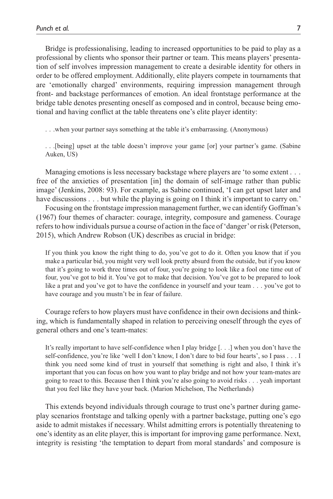Bridge is professionalising, leading to increased opportunities to be paid to play as a professional by clients who sponsor their partner or team. This means players' presentation of self involves impression management to create a desirable identity for others in order to be offered employment. Additionally, elite players compete in tournaments that are 'emotionally charged' environments, requiring impression management through front- and backstage performances of emotion. An ideal frontstage performance at the bridge table denotes presenting oneself as composed and in control, because being emotional and having conflict at the table threatens one's elite player identity:

. . .when your partner says something at the table it's embarrassing. (Anonymous)

. . .[being] upset at the table doesn't improve your game [or] your partner's game. (Sabine Auken, US)

Managing emotions is less necessary backstage where players are 'to some extent . . . free of the anxieties of presentation [in] the domain of self-image rather than public image' (Jenkins, 2008: 93). For example, as Sabine continued, 'I can get upset later and have discussions . . . but while the playing is going on I think it's important to carry on.'

Focusing on the frontstage impression management further, we can identify Goffman's (1967) four themes of character: courage, integrity, composure and gameness. Courage refers to how individuals pursue a course of action in the face of 'danger' or risk (Peterson, 2015), which Andrew Robson (UK) describes as crucial in bridge:

If you think you know the right thing to do, you've got to do it. Often you know that if you make a particular bid, you might very well look pretty absurd from the outside, but if you know that it's going to work three times out of four, you're going to look like a fool one time out of four, you've got to bid it. You've got to make that decision. You've got to be prepared to look like a prat and you've got to have the confidence in yourself and your team . . . you've got to have courage and you mustn't be in fear of failure.

Courage refers to how players must have confidence in their own decisions and thinking, which is fundamentally shaped in relation to perceiving oneself through the eyes of general others and one's team-mates:

It's really important to have self-confidence when I play bridge [. . .] when you don't have the self-confidence, you're like 'well I don't know, I don't dare to bid four hearts', so I pass . . . I think you need some kind of trust in yourself that something is right and also, I think it's important that you can focus on how you want to play bridge and not how your team-mates are going to react to this. Because then I think you're also going to avoid risks . . . yeah important that you feel like they have your back. (Marion Michelson, The Netherlands)

This extends beyond individuals through courage to trust one's partner during gameplay scenarios frontstage and talking openly with a partner backstage, putting one's ego aside to admit mistakes if necessary. Whilst admitting errors is potentially threatening to one's identity as an elite player, this is important for improving game performance. Next, integrity is resisting 'the temptation to depart from moral standards' and composure is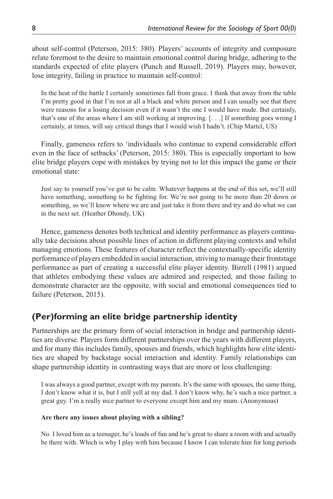about self-control (Peterson, 2015: 380). Players' accounts of integrity and composure relate foremost to the desire to maintain emotional control during bridge, adhering to the standards expected of elite players (Punch and Russell, 2019). Players may, however, lose integrity, failing in practice to maintain self-control:

In the heat of the battle I certainly sometimes fall from grace. I think that away from the table I'm pretty good in that I'm not at all a black and white person and I can usually see that there were reasons for a losing decision even if it wasn't the one I would have made. But certainly, that's one of the areas where I am still working at improving. [. . .] If something goes wrong I certainly, at times, will say critical things that I would wish I hadn't. (Chip Martel, US)

Finally, gameness refers to 'individuals who continue to expend considerable effort even in the face of setbacks' (Peterson, 2015: 380). This is especially important to how elite bridge players cope with mistakes by trying not to let this impact the game or their emotional state:

Just say to yourself you've got to be calm. Whatever happens at the end of this set, we'll still have something, something to be fighting for. We're not going to be more than 20 down or something, so we'll know where we are and just take it from there and try and do what we can in the next set. (Heather Dhondy, UK)

Hence, gameness denotes both technical and identity performance as players continually take decisions about possible lines of action in different playing contexts and whilst managing emotions. These features of character reflect the contextually-specific identity performance of players embedded in social interaction, striving to manage their frontstage performance as part of creating a successful elite player identity. Birrell (1981) argued that athletes embodying these values are admired and respected, and those failing to demonstrate character are the opposite, with social and emotional consequences tied to failure (Peterson, 2015).

# **(Per)forming an elite bridge partnership identity**

Partnerships are the primary form of social interaction in bridge and partnership identities are diverse. Players form different partnerships over the years with different players, and for many this includes family, spouses and friends, which highlights how elite identities are shaped by backstage social interaction and identity. Family relationships can shape partnership identity in contrasting ways that are more or less challenging:

I was always a good partner, except with my parents. It's the same with spouses, the same thing, I don't know what it is, but I still yell at my dad. I don't know why, he's such a nice partner, a great guy. I'm a really nice partner to everyone except him and my mum. (Anonymous)

#### **Are there any issues about playing with a sibling?**

No. I loved him as a teenager, he's loads of fun and he's great to share a room with and actually be there with. Which is why I play with him because I know I can tolerate him for long periods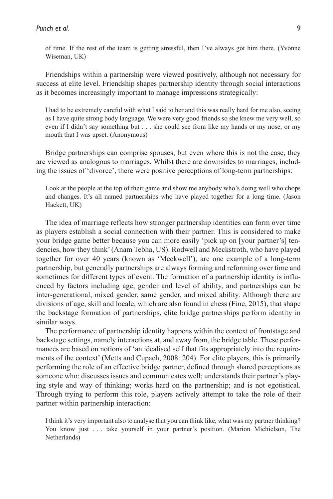of time. If the rest of the team is getting stressful, then I've always got him there. (Yvonne Wiseman, UK)

Friendships within a partnership were viewed positively, although not necessary for success at elite level. Friendship shapes partnership identity through social interactions as it becomes increasingly important to manage impressions strategically:

I had to be extremely careful with what I said to her and this was really hard for me also, seeing as I have quite strong body language. We were very good friends so she knew me very well, so even if I didn't say something but . . . she could see from like my hands or my nose, or my mouth that I was upset. (Anonymous)

Bridge partnerships can comprise spouses, but even where this is not the case, they are viewed as analogous to marriages. Whilst there are downsides to marriages, including the issues of 'divorce', there were positive perceptions of long-term partnerships:

Look at the people at the top of their game and show me anybody who's doing well who chops and changes. It's all named partnerships who have played together for a long time. (Jason Hackett, UK)

The idea of marriage reflects how stronger partnership identities can form over time as players establish a social connection with their partner. This is considered to make your bridge game better because you can more easily 'pick up on [your partner's] tendencies, how they think' (Anam Tebha, US). Rodwell and Meckstroth, who have played together for over 40 years (known as 'Meckwell'), are one example of a long-term partnership, but generally partnerships are always forming and reforming over time and sometimes for different types of event. The formation of a partnership identity is influenced by factors including age, gender and level of ability, and partnerships can be inter-generational, mixed gender, same gender, and mixed ability. Although there are divisions of age, skill and locale, which are also found in chess (Fine, 2015), that shape the backstage formation of partnerships, elite bridge partnerships perform identity in similar ways.

The performance of partnership identity happens within the context of frontstage and backstage settings, namely interactions at, and away from, the bridge table. These performances are based on notions of 'an idealised self that fits appropriately into the requirements of the context' (Metts and Cupach, 2008: 204). For elite players, this is primarily performing the role of an effective bridge partner, defined through shared perceptions as someone who: discusses issues and communicates well; understands their partner's playing style and way of thinking; works hard on the partnership; and is not egotistical. Through trying to perform this role, players actively attempt to take the role of their partner within partnership interaction:

I think it's very important also to analyse that you can think like, what was my partner thinking? You know just . . . take yourself in your partner's position. (Marion Michielson, The Netherlands)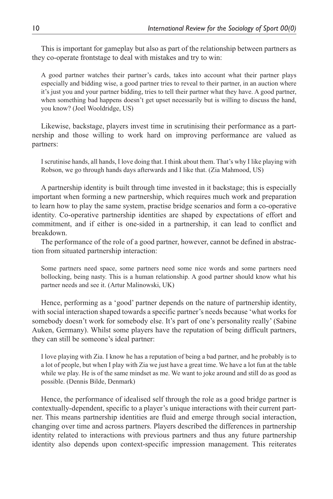This is important for gameplay but also as part of the relationship between partners as they co-operate frontstage to deal with mistakes and try to win:

A good partner watches their partner's cards, takes into account what their partner plays especially and bidding wise, a good partner tries to reveal to their partner, in an auction where it's just you and your partner bidding, tries to tell their partner what they have. A good partner, when something bad happens doesn't get upset necessarily but is willing to discuss the hand, you know? (Joel Wooldridge, US)

Likewise, backstage, players invest time in scrutinising their performance as a partnership and those willing to work hard on improving performance are valued as partners:

I scrutinise hands, all hands, I love doing that. I think about them. That's why I like playing with Robson, we go through hands days afterwards and I like that. (Zia Mahmood, US)

A partnership identity is built through time invested in it backstage; this is especially important when forming a new partnership, which requires much work and preparation to learn how to play the same system, practise bridge scenarios and form a co-operative identity. Co-operative partnership identities are shaped by expectations of effort and commitment, and if either is one-sided in a partnership, it can lead to conflict and breakdown.

The performance of the role of a good partner, however, cannot be defined in abstraction from situated partnership interaction:

Some partners need space, some partners need some nice words and some partners need bollocking, being nasty. This is a human relationship. A good partner should know what his partner needs and see it. (Artur Malinowski, UK)

Hence, performing as a 'good' partner depends on the nature of partnership identity, with social interaction shaped towards a specific partner's needs because 'what works for somebody doesn't work for somebody else. It's part of one's personality really' (Sabine Auken, Germany). Whilst some players have the reputation of being difficult partners, they can still be someone's ideal partner:

I love playing with Zia. I know he has a reputation of being a bad partner, and he probably is to a lot of people, but when I play with Zia we just have a great time. We have a lot fun at the table while we play. He is of the same mindset as me. We want to joke around and still do as good as possible. (Dennis Bilde, Denmark)

Hence, the performance of idealised self through the role as a good bridge partner is contextually-dependent, specific to a player's unique interactions with their current partner. This means partnership identities are fluid and emerge through social interaction, changing over time and across partners. Players described the differences in partnership identity related to interactions with previous partners and thus any future partnership identity also depends upon context-specific impression management. This reiterates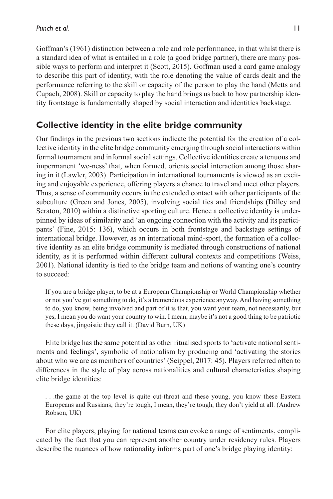Goffman's (1961) distinction between a role and role performance, in that whilst there is a standard idea of what is entailed in a role (a good bridge partner), there are many possible ways to perform and interpret it (Scott, 2015). Goffman used a card game analogy to describe this part of identity, with the role denoting the value of cards dealt and the performance referring to the skill or capacity of the person to play the hand (Metts and Cupach, 2008). Skill or capacity to play the hand brings us back to how partnership identity frontstage is fundamentally shaped by social interaction and identities backstage.

# **Collective identity in the elite bridge community**

Our findings in the previous two sections indicate the potential for the creation of a collective identity in the elite bridge community emerging through social interactions within formal tournament and informal social settings. Collective identities create a tenuous and impermanent 'we-ness' that, when formed, orients social interaction among those sharing in it (Lawler, 2003). Participation in international tournaments is viewed as an exciting and enjoyable experience, offering players a chance to travel and meet other players. Thus, a sense of community occurs in the extended contact with other participants of the subculture (Green and Jones, 2005), involving social ties and friendships (Dilley and Scraton, 2010) within a distinctive sporting culture. Hence a collective identity is underpinned by ideas of similarity and 'an ongoing connection with the activity and its participants' (Fine, 2015: 136), which occurs in both frontstage and backstage settings of international bridge. However, as an international mind-sport, the formation of a collective identity as an elite bridge community is mediated through constructions of national identity, as it is performed within different cultural contexts and competitions (Weiss, 2001). National identity is tied to the bridge team and notions of wanting one's country to succeed:

If you are a bridge player, to be at a European Championship or World Championship whether or not you've got something to do, it's a tremendous experience anyway. And having something to do, you know, being involved and part of it is that, you want your team, not necessarily, but yes, I mean you do want your country to win. I mean, maybe it's not a good thing to be patriotic these days, jingoistic they call it. (David Burn, UK)

Elite bridge has the same potential as other ritualised sports to 'activate national sentiments and feelings', symbolic of nationalism by producing and 'activating the stories about who we are as members of countries' (Seippel, 2017: 45). Players referred often to differences in the style of play across nationalities and cultural characteristics shaping elite bridge identities:

. . .the game at the top level is quite cut-throat and these young, you know these Eastern Europeans and Russians, they're tough, I mean, they're tough, they don't yield at all. (Andrew Robson, UK)

For elite players, playing for national teams can evoke a range of sentiments, complicated by the fact that you can represent another country under residency rules. Players describe the nuances of how nationality informs part of one's bridge playing identity: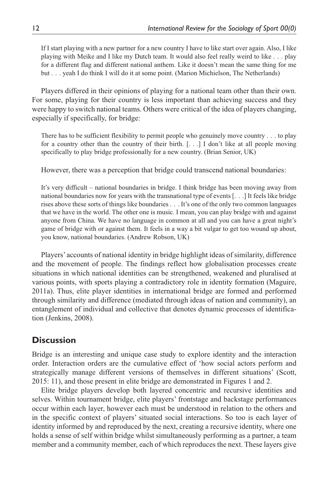If I start playing with a new partner for a new country I have to like start over again. Also, I like playing with Meike and I like my Dutch team. It would also feel really weird to like . . . play for a different flag and different national anthem. Like it doesn't mean the same thing for me but . . . yeah I do think I will do it at some point. (Marion Michielson, The Netherlands)

Players differed in their opinions of playing for a national team other than their own. For some, playing for their country is less important than achieving success and they were happy to switch national teams. Others were critical of the idea of players changing, especially if specifically, for bridge:

There has to be sufficient flexibility to permit people who genuinely move country . . . to play for a country other than the country of their birth. [. . .] I don't like at all people moving specifically to play bridge professionally for a new country. (Brian Senior, UK)

However, there was a perception that bridge could transcend national boundaries:

It's very difficult – national boundaries in bridge. I think bridge has been moving away from national boundaries now for years with the transnational type of events [. . .] It feels like bridge rises above these sorts of things like boundaries . . . It's one of the only two common languages that we have in the world. The other one is music. I mean, you can play bridge with and against anyone from China. We have no language in common at all and you can have a great night's game of bridge with or against them. It feels in a way a bit vulgar to get too wound up about, you know, national boundaries. (Andrew Robson, UK)

Players' accounts of national identity in bridge highlight ideas of similarity, difference and the movement of people. The findings reflect how globalisation processes create situations in which national identities can be strengthened, weakened and pluralised at various points, with sports playing a contradictory role in identity formation (Maguire, 2011a). Thus, elite player identities in international bridge are formed and performed through similarity and difference (mediated through ideas of nation and community), an entanglement of individual and collective that denotes dynamic processes of identification (Jenkins, 2008).

# **Discussion**

Bridge is an interesting and unique case study to explore identity and the interaction order. Interaction orders are the cumulative effect of 'how social actors perform and strategically manage different versions of themselves in different situations' (Scott, 2015: 11), and those present in elite bridge are demonstrated in Figures 1 and 2.

Elite bridge players develop both layered concentric and recursive identities and selves. Within tournament bridge, elite players' frontstage and backstage performances occur within each layer, however each must be understood in relation to the others and in the specific context of players' situated social interactions. So too is each layer of identity informed by and reproduced by the next, creating a recursive identity, where one holds a sense of self within bridge whilst simultaneously performing as a partner, a team member and a community member, each of which reproduces the next. These layers give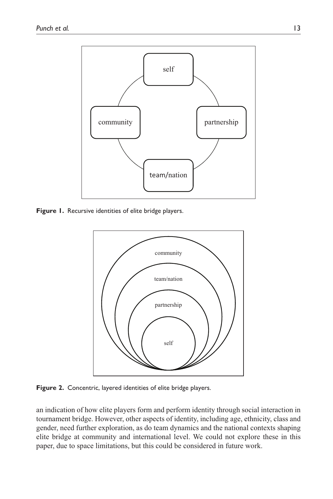

**Figure 1.** Recursive identities of elite bridge players.



**Figure 2.** Concentric, layered identities of elite bridge players.

an indication of how elite players form and perform identity through social interaction in tournament bridge. However, other aspects of identity, including age, ethnicity, class and gender, need further exploration, as do team dynamics and the national contexts shaping elite bridge at community and international level. We could not explore these in this paper, due to space limitations, but this could be considered in future work.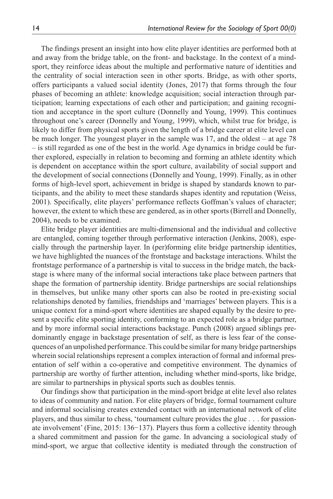The findings present an insight into how elite player identities are performed both at and away from the bridge table, on the front- and backstage. In the context of a mindsport, they reinforce ideas about the multiple and performative nature of identities and the centrality of social interaction seen in other sports. Bridge, as with other sports, offers participants a valued social identity (Jones, 2017) that forms through the four phases of becoming an athlete: knowledge acquisition; social interaction through participation; learning expectations of each other and participation; and gaining recognition and acceptance in the sport culture (Donnelly and Young, 1999). This continues throughout one's career (Donnelly and Young, 1999), which, whilst true for bridge, is likely to differ from physical sports given the length of a bridge career at elite level can be much longer. The youngest player in the sample was 17, and the oldest – at age 78 – is still regarded as one of the best in the world. Age dynamics in bridge could be further explored, especially in relation to becoming and forming an athlete identity which is dependent on acceptance within the sport culture, availability of social support and the development of social connections (Donnelly and Young, 1999). Finally, as in other forms of high-level sport, achievement in bridge is shaped by standards known to participants, and the ability to meet these standards shapes identity and reputation (Weiss, 2001). Specifically, elite players' performance reflects Goffman's values of character; however, the extent to which these are gendered, as in other sports (Birrell and Donnelly, 2004), needs to be examined.

Elite bridge player identities are multi-dimensional and the individual and collective are entangled, coming together through performative interaction (Jenkins, 2008), especially through the partnership layer. In (per)forming elite bridge partnership identities, we have highlighted the nuances of the frontstage and backstage interactions. Whilst the frontstage performance of a partnership is vital to success in the bridge match, the backstage is where many of the informal social interactions take place between partners that shape the formation of partnership identity. Bridge partnerships are social relationships in themselves, but unlike many other sports can also be rooted in pre-existing social relationships denoted by families, friendships and 'marriages' between players. This is a unique context for a mind-sport where identities are shaped equally by the desire to present a specific elite sporting identity, conforming to an expected role as a bridge partner, and by more informal social interactions backstage. Punch (2008) argued siblings predominantly engage in backstage presentation of self, as there is less fear of the consequences of an unpolished performance. This could be similar for many bridge partnerships wherein social relationships represent a complex interaction of formal and informal presentation of self within a co-operative and competitive environment. The dynamics of partnership are worthy of further attention, including whether mind-sports, like bridge, are similar to partnerships in physical sports such as doubles tennis.

Our findings show that participation in the mind-sport bridge at elite level also relates to ideas of community and nation. For elite players of bridge, formal tournament culture and informal socialising creates extended contact with an international network of elite players, and thus similar to chess, 'tournament culture provides the glue . . . for passionate involvement' (Fine, 2015: 136−137). Players thus form a collective identity through a shared commitment and passion for the game. In advancing a sociological study of mind-sport, we argue that collective identity is mediated through the construction of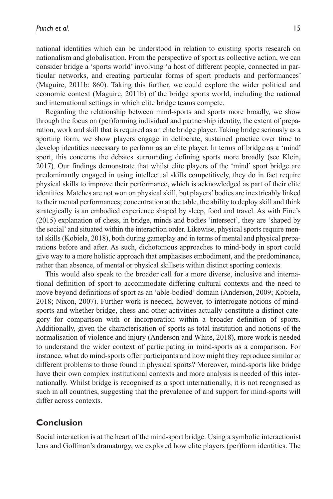national identities which can be understood in relation to existing sports research on nationalism and globalisation. From the perspective of sport as collective action, we can consider bridge a 'sports world' involving 'a host of different people, connected in particular networks, and creating particular forms of sport products and performances' (Maguire, 2011b: 860). Taking this further, we could explore the wider political and economic context (Maguire, 2011b) of the bridge sports world, including the national and international settings in which elite bridge teams compete.

Regarding the relationship between mind-sports and sports more broadly, we show through the focus on (per)forming individual and partnership identity, the extent of preparation, work and skill that is required as an elite bridge player. Taking bridge seriously as a sporting form, we show players engage in deliberate, sustained practice over time to develop identities necessary to perform as an elite player. In terms of bridge as a 'mind' sport, this concerns the debates surrounding defining sports more broadly (see Klein, 2017). Our findings demonstrate that whilst elite players of the 'mind' sport bridge are predominantly engaged in using intellectual skills competitively, they do in fact require physical skills to improve their performance, which is acknowledged as part of their elite identities. Matches are not won on physical skill, but players' bodies are inextricably linked to their mental performances; concentration at the table, the ability to deploy skill and think strategically is an embodied experience shaped by sleep, food and travel. As with Fine's (2015) explanation of chess, in bridge, minds and bodies 'intersect', they are 'shaped by the social' and situated within the interaction order. Likewise, physical sports require mental skills (Kobiela, 2018), both during gameplay and in terms of mental and physical preparations before and after. As such, dichotomous approaches to mind-body in sport could give way to a more holistic approach that emphasises embodiment, and the predominance, rather than absence, of mental or physical skillsets within distinct sporting contexts.

This would also speak to the broader call for a more diverse, inclusive and international definition of sport to accommodate differing cultural contexts and the need to move beyond definitions of sport as an 'able-bodied' domain (Anderson, 2009; Kobiela, 2018; Nixon, 2007). Further work is needed, however, to interrogate notions of mindsports and whether bridge, chess and other activities actually constitute a distinct category for comparison with or incorporation within a broader definition of sports. Additionally, given the characterisation of sports as total institution and notions of the normalisation of violence and injury (Anderson and White, 2018), more work is needed to understand the wider context of participating in mind-sports as a comparison. For instance, what do mind-sports offer participants and how might they reproduce similar or different problems to those found in physical sports? Moreover, mind-sports like bridge have their own complex institutional contexts and more analysis is needed of this internationally. Whilst bridge is recognised as a sport internationally, it is not recognised as such in all countries, suggesting that the prevalence of and support for mind-sports will differ across contexts.

### **Conclusion**

Social interaction is at the heart of the mind-sport bridge. Using a symbolic interactionist lens and Goffman's dramaturgy, we explored how elite players (per)form identities. The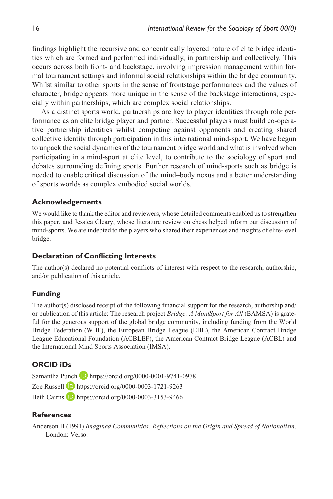findings highlight the recursive and concentrically layered nature of elite bridge identities which are formed and performed individually, in partnership and collectively. This occurs across both front- and backstage, involving impression management within formal tournament settings and informal social relationships within the bridge community. Whilst similar to other sports in the sense of frontstage performances and the values of character, bridge appears more unique in the sense of the backstage interactions, especially within partnerships, which are complex social relationships.

As a distinct sports world, partnerships are key to player identities through role performance as an elite bridge player and partner. Successful players must build co-operative partnership identities whilst competing against opponents and creating shared collective identity through participation in this international mind-sport. We have begun to unpack the social dynamics of the tournament bridge world and what is involved when participating in a mind-sport at elite level, to contribute to the sociology of sport and debates surrounding defining sports. Further research of mind-sports such as bridge is needed to enable critical discussion of the mind–body nexus and a better understanding of sports worlds as complex embodied social worlds.

### **Acknowledgements**

We would like to thank the editor and reviewers, whose detailed comments enabled us to strengthen this paper, and Jessica Cleary, whose literature review on chess helped inform our discussion of mind-sports. We are indebted to the players who shared their experiences and insights of elite-level bridge.

### **Declaration of Conflicting Interests**

The author(s) declared no potential conflicts of interest with respect to the research, authorship, and/or publication of this article.

#### **Funding**

The author(s) disclosed receipt of the following financial support for the research, authorship and/ or publication of this article: The research project *Bridge: A MindSport for All* (BAMSA) is grateful for the generous support of the global bridge community, including funding from the World Bridge Federation (WBF), the European Bridge League (EBL), the American Contract Bridge League Educational Foundation (ACBLEF), the American Contract Bridge League (ACBL) and the International Mind Sports Association (IMSA).

### **ORCID iDs**

Samantha Punch **b** <https://orcid.org/0000-0001-9741-0978> Zoe Russell **D** <https://orcid.org/0000-0003-1721-9263> Beth Cairns **D** <https://orcid.org/0000-0003-3153-9466>

### **References**

Anderson B (1991) *Imagined Communities: Reflections on the Origin and Spread of Nationalism*. London: Verso.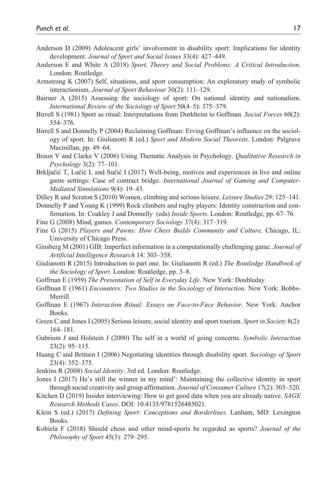- Anderson D (2009) Adolescent girls' involvement in disability sport: Implications for identity development. *Journal of Sport and Social Issues* 33(4): 427–449.
- Anderson E and White A (2018) *Sport, Theory and Social Problems: A Critical Introduction*. London: Routledge.
- Armstrong K (2007) Self, situations, and sport consumption: An exploratory study of symbolic interactionism. *Journal of Sport Behaviour* 30(2): 111–129.
- Bairner A (2015) Assessing the sociology of sport: On national identity and nationalism. *International Review of the Sociology of Sport* 50(4–5): 375–379.
- Birrell S (1981) Sport as ritual: Interpretations from Durkheim to Goffman. *Social Forces* 60(2): 354–376.
- Birrell S and Donnelly P (2004) Reclaiming Goffman: Erving Goffman's influence on the sociology of sport. In: Giulianotti R (ed.) *Sport and Modern Social Theorists*. London: Palgrave Macmillan, pp. 49–64.
- Braun V and Clarke V (2006) Using Thematic Analysis in Psychology. *Qualitative Research in Psychology* 3(2): 77–101.
- Brkljačić T, Lučić L and Sučić I (2017) Well-being, motives and experiences in live and online game settings: Case of contract bridge. *International Journal of Gaming and Computer-Mediated Simulations* 9(4): 19–43.
- Dilley R and Scraton S (2010) Women, climbing and serious leisure. *Leisure Studies* 29: 125–141.
- Donnelly P and Young K (1999) Rock climbers and rugby players: Identity construction and confirmation. In: Coakley J and Donnelly (eds) *Inside Sports*. London: Routledge, pp. 67–76.
- Fine G (2008) Mind, games. *Contemporary Sociology* 37(4): 317–319.
- Fine G (2015) *Players and Pawns: How Chess Builds Community and Culture*. Chicago, IL: University of Chicago Press.
- Ginsberg M (2001) GIB: Imperfect information in a computationally challenging game. *Journal of Artificial Intelligence Research* 14: 303–358.
- Giulianotti R (2015) Introduction to part one. In: Giulianotti R (ed.) *The Routledge Handbook of the Sociology of Sport*. London: Routledge, pp. 3–8.
- Goffman E (1959) *The Presentation of Self in Everyday Life*. New York: Doubleday.
- Goffman E (1961) *Encounters: Two Studies in the Sociology of Interaction*. New York: Bobbs-Merrill.
- Goffman E (1967) *Interaction Ritual: Essays on Face-to-Face Behavior*. New York: Anchor Books.
- Green C and Jones I (2005) Serious leisure, social identity and sport tourism. *Sport in Society* 8(2): 164–181.
- Gubrium J and Holstein J (2000) The self in a world of going concerns. *Symbolic Interaction* 23(2): 95–115.
- Huang C and Brittain I (2006) Negotiating identities through disability sport. *Sociology of Sport* 23(4): 352–375.
- Jenkins R (2008) *Social Identity*. 3rd ed. London: Routledge.
- Jones I (2017) He's still the winner in my mind': Maintaining the collective identity in sport through social creativity and group affirmation. *Journal of Consumer Culture* 17(2): 303–320.
- Kitchen D (2019) Insider interviewing: How to get good data when you are already native. *SAGE Research Methods Cases*. DOI: 10.4135/9781526485021.
- Klein S (ed.) (2017) *Defining Sport: Conceptions and Borderlines*. Lanham, MD: Lexington Books.
- Kobiela F (2018) Should chess and other mind-sports be regarded as sports? *Journal of the Philosophy of Sport* 45(3): 279–295.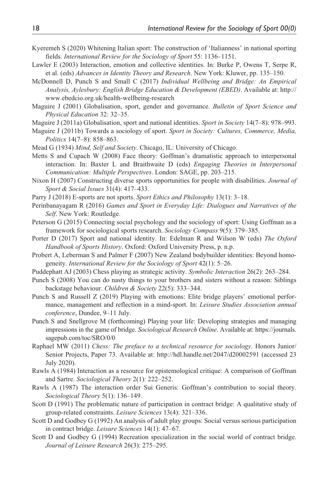- Kyeremeh S (2020) Whitening Italian sport: The construction of 'Italianness' in national sporting fields. *International Review for the Sociology of Sport* 55: 1136–1151.
- Lawler E (2003) Interaction, emotion and collective identities. In: Burke P, Owens T, Serpe R, et al. (eds) *Advances in Identity Theory and Research*. New York: Kluwer, pp. 135–150.
- McDonnell D, Punch S and Small C (2017) *Individual Wellbeing and Bridge: An Empirical Analysis, Aylesbury: English Bridge Education & Development (EBED)*. Available at: [http://](http://www.ebedcio.org.uk/health-wellbeing-research) [www.ebedcio.org.uk/health-wellbeing-research](http://www.ebedcio.org.uk/health-wellbeing-research)
- Maguire J (2001) Globalisation, sport, gender and governance. *Bulletin of Sport Science and Physical Education* 32: 32–35.
- Maguire J (2011a) Globalisation, sport and national identities. *Sport in Society* 14(7–8): 978–993.
- Maguire J (2011b) Towards a sociology of sport. *Sport in Society: Cultures, Commerce, Media, Politics* 14(7–8): 858–863.
- Mead G (1934) *Mind, Self and Society*. Chicago, IL: University of Chicago.
- Metts S and Cupach W (2008) Face theory: Goffman's dramatistic approach to interpersonal interaction. In: Baxter L and Braithwaite D (eds) *Engaging Theories in Interpersonal Communication: Multiple Perspectives*. London: SAGE, pp. 203–215.
- Nixon H (2007) Constructing diverse sports opportunities for people with disabilities. *Journal of Sport & Social Issues* 31(4): 417–433.

Parry J (2018) E-sports are not sports. *Sport Ethics and Philosophy* 13(1): 3–18.

- Perinbanayagam R (2016) *Games and Sport in Everyday Life: Dialogues and Narratives of the Self*. New York: Routledge.
- Peterson G (2015) Connecting social psychology and the sociology of sport: Using Goffman as a framework for sociological sports research. *Sociology Compass* 9(5): 379–385.
- Porter D (2017) Sport and national identity. In: Edelman R and Wilson W (eds) *The Oxford Handbook of Sports History*. Oxford: Oxford University Press, p. n.p.
- Probert A, Leberman S and Palmer F (2007) New Zealand bodybuilder identities: Beyond homogeneity. *International Review for the Sociology of Sport* 42(1): 5–26.
- Puddephatt AJ (2003) Chess playing as strategic activity. *Symbolic Interaction* 26(2): 263–284.
- Punch S (2008) You can do nasty things to your brothers and sisters without a reason: Siblings backstage behaviour. *Children & Society* 22(5): 333–344.
- Punch S and Russell Z (2019) Playing with emotions: Elite bridge players' emotional performance, management and reflection in a mind-sport. In: *Leisure Studies Association annual conference*, Dundee, 9–11 July.
- Punch S and Snellgrove M (forthcoming) Playing your life: Developing strategies and managing impressions in the game of bridge. *Sociological Research Online*. Available at: [https://journals.](https://journals.sagepub.com/toc/SRO/0/0) [sagepub.com/toc/SRO/0/0](https://journals.sagepub.com/toc/SRO/0/0)
- Raphael MW (2011) *Chess: The preface to a technical resource for sociology*. Honors Junior/ Senior Projects, Paper 73. Available at: <http://hdl.handle.net/2047/d20002591>(accessed 23 July 2020).
- Rawls A (1984) Interaction as a resource for epistemological critique: A comparison of Goffman and Sartre. *Sociological Theory* 2(1): 222–252.
- Rawls A (1987) The interaction order Sui Generis: Goffman's contribution to social theory. *Sociological Theory* 5(1): 136–149.
- Scott D (1991) The problematic nature of participation in contract bridge: A qualitative study of group-related constraints. *Leisure Sciences* 13(4): 321–336.
- Scott D and Godbey G (1992) An analysis of adult play groups: Social versus serious participation in contract bridge. *Leisure Sciences* 14(1): 47–67.
- Scott D and Godbey G (1994) Recreation specialization in the social world of contract bridge. *Journal of Leisure Research* 26(3): 275–295.